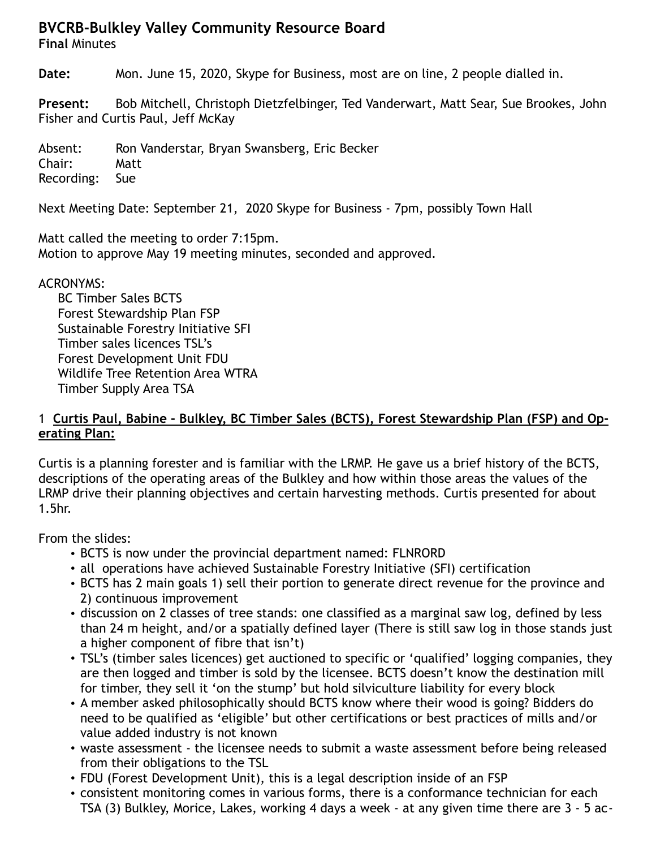## **BVCRB-Bulkley Valley Community Resource Board**

**Final** Minutes

**Date:** Mon. June 15, 2020, Skype for Business, most are on line, 2 people dialled in.

**Present:** Bob Mitchell, Christoph Dietzfelbinger, Ted Vanderwart, Matt Sear, Sue Brookes, John Fisher and Curtis Paul, Jeff McKay

Absent: Ron Vanderstar, Bryan Swansberg, Eric Becker Chair: Matt Recording: Sue

Next Meeting Date: September 21, 2020 Skype for Business - 7pm, possibly Town Hall

Matt called the meeting to order 7:15pm. Motion to approve May 19 meeting minutes, seconded and approved.

ACRONYMS:

BC Timber Sales BCTS Forest Stewardship Plan FSP Sustainable Forestry Initiative SFI Timber sales licences TSL's Forest Development Unit FDU Wildlife Tree Retention Area WTRA Timber Supply Area TSA

#### 1 **Curtis Paul, Babine - Bulkley, BC Timber Sales (BCTS), Forest Stewardship Plan (FSP) and Operating Plan:**

Curtis is a planning forester and is familiar with the LRMP. He gave us a brief history of the BCTS, descriptions of the operating areas of the Bulkley and how within those areas the values of the LRMP drive their planning objectives and certain harvesting methods. Curtis presented for about 1.5hr.

From the slides:

- BCTS is now under the provincial department named: FLNRORD
- all operations have achieved Sustainable Forestry Initiative (SFI) certification
- BCTS has 2 main goals 1) sell their portion to generate direct revenue for the province and 2) continuous improvement
- discussion on 2 classes of tree stands: one classified as a marginal saw log, defined by less than 24 m height, and/or a spatially defined layer (There is still saw log in those stands just a higher component of fibre that isn't)
- TSL's (timber sales licences) get auctioned to specific or 'qualified' logging companies, they are then logged and timber is sold by the licensee. BCTS doesn't know the destination mill for timber, they sell it 'on the stump' but hold silviculture liability for every block
- A member asked philosophically should BCTS know where their wood is going? Bidders do need to be qualified as 'eligible' but other certifications or best practices of mills and/or value added industry is not known
- waste assessment the licensee needs to submit a waste assessment before being released from their obligations to the TSL
- FDU (Forest Development Unit), this is a legal description inside of an FSP
- consistent monitoring comes in various forms, there is a conformance technician for each TSA (3) Bulkley, Morice, Lakes, working 4 days a week - at any given time there are 3 - 5 ac-